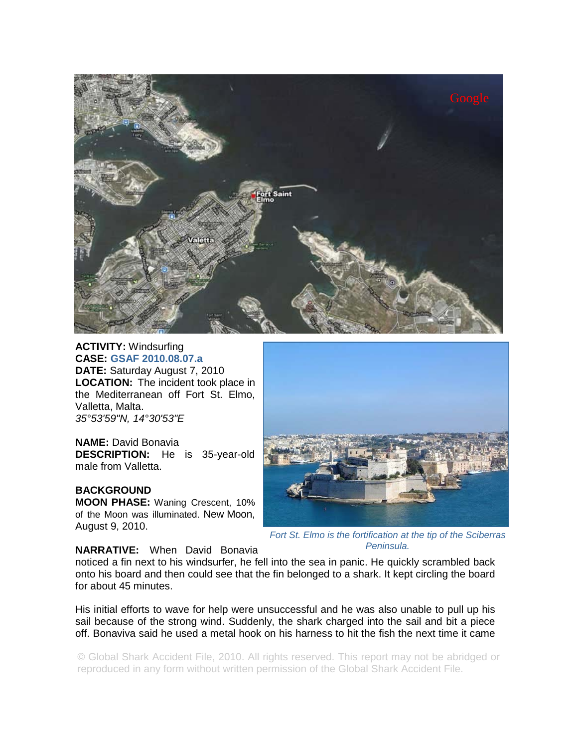

**ACTIVITY:** Windsurfing **CASE: GSAF 2010.08.07.a DATE:** Saturday August 7, 2010 **LOCATION:** The incident took place in the Mediterranean off Fort St. Elmo, Valletta, Malta. *35°53'59"N, 14°30'53"E* 

**NAME:** David Bonavia **DESCRIPTION:** He is 35-year-old male from Valletta.

**BACKGROUND MOON PHASE:** Waning Crescent, 10% of the Moon was illuminated. New Moon, August 9, 2010.



*Fort St. Elmo is the fortification at the tip of the Sciberras Peninsula.* 

**NARRATIVE:** When David Bonavia

noticed a fin next to his windsurfer, he fell into the sea in panic. He quickly scrambled back onto his board and then could see that the fin belonged to a shark. It kept circling the board for about 45 minutes.

His initial efforts to wave for help were unsuccessful and he was also unable to pull up his sail because of the strong wind. Suddenly, the shark charged into the sail and bit a piece off. Bonaviva said he used a metal hook on his harness to hit the fish the next time it came

© Global Shark Accident File, 2010. All rights reserved. This report may not be abridged or reproduced in any form without written permission of the Global Shark Accident File.